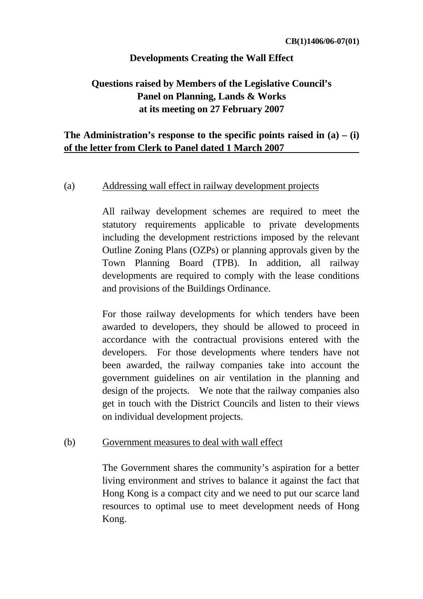# **Developments Creating the Wall Effect**

# **Questions raised by Members of the Legislative Council's Panel on Planning, Lands & Works at its meeting on 27 February 2007**

# **The Administration's response to the specific points raised in (a) – (i) of the letter from Clerk to Panel dated 1 March 2007**

#### (a) Addressing wall effect in railway development projects

 All railway development schemes are required to meet the statutory requirements applicable to private developments including the development restrictions imposed by the relevant Outline Zoning Plans (OZPs) or planning approvals given by the Town Planning Board (TPB). In addition, all railway developments are required to comply with the lease conditions and provisions of the Buildings Ordinance.

For those railway developments for which tenders have been awarded to developers, they should be allowed to proceed in accordance with the contractual provisions entered with the developers. For those developments where tenders have not been awarded, the railway companies take into account the government guidelines on air ventilation in the planning and design of the projects. We note that the railway companies also get in touch with the District Councils and listen to their views on individual development projects.

#### (b) Government measures to deal with wall effect

The Government shares the community's aspiration for a better living environment and strives to balance it against the fact that Hong Kong is a compact city and we need to put our scarce land resources to optimal use to meet development needs of Hong Kong.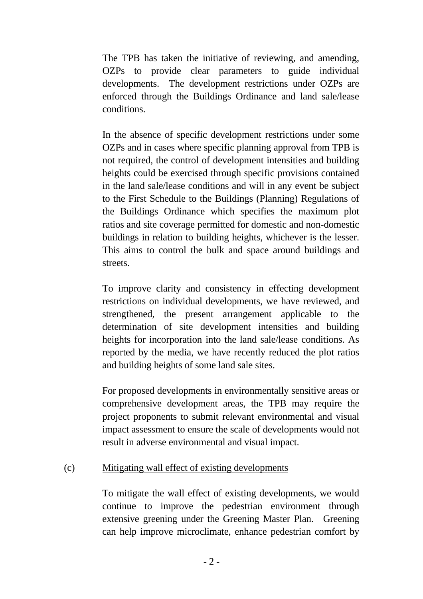The TPB has taken the initiative of reviewing, and amending, OZPs to provide clear parameters to guide individual developments. The development restrictions under OZPs are enforced through the Buildings Ordinance and land sale/lease conditions.

In the absence of specific development restrictions under some OZPs and in cases where specific planning approval from TPB is not required, the control of development intensities and building heights could be exercised through specific provisions contained in the land sale/lease conditions and will in any event be subject to the First Schedule to the Buildings (Planning) Regulations of the Buildings Ordinance which specifies the maximum plot ratios and site coverage permitted for domestic and non-domestic buildings in relation to building heights, whichever is the lesser. This aims to control the bulk and space around buildings and streets.

To improve clarity and consistency in effecting development restrictions on individual developments, we have reviewed, and strengthened, the present arrangement applicable to the determination of site development intensities and building heights for incorporation into the land sale/lease conditions. As reported by the media, we have recently reduced the plot ratios and building heights of some land sale sites.

For proposed developments in environmentally sensitive areas or comprehensive development areas, the TPB may require the project proponents to submit relevant environmental and visual impact assessment to ensure the scale of developments would not result in adverse environmental and visual impact.

# (c) Mitigating wall effect of existing developments

To mitigate the wall effect of existing developments, we would continue to improve the pedestrian environment through extensive greening under the Greening Master Plan. Greening can help improve microclimate, enhance pedestrian comfort by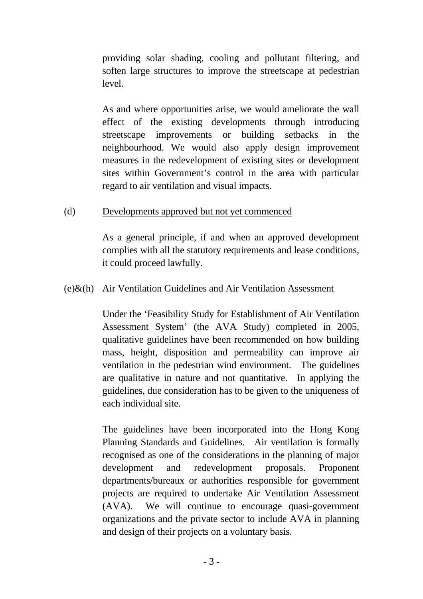providing solar shading, cooling and pollutant filtering, and soften large structures to improve the streetscape at pedestrian level.

 As and where opportunities arise, we would ameliorate the wall effect of the existing developments through introducing streetscape improvements or building setbacks in the neighbourhood. We would also apply design improvement measures in the redevelopment of existing sites or development sites within Government's control in the area with particular regard to air ventilation and visual impacts.

### (d) Developments approved but not yet commenced

As a general principle, if and when an approved development complies with all the statutory requirements and lease conditions, it could proceed lawfully.

# (e)&(h) Air Ventilation Guidelines and Air Ventilation Assessment

 Under the 'Feasibility Study for Establishment of Air Ventilation Assessment System' (the AVA Study) completed in 2005, qualitative guidelines have been recommended on how building mass, height, disposition and permeability can improve air ventilation in the pedestrian wind environment. The guidelines are qualitative in nature and not quantitative. In applying the guidelines, due consideration has to be given to the uniqueness of each individual site.

 The guidelines have been incorporated into the Hong Kong Planning Standards and Guidelines. Air ventilation is formally recognised as one of the considerations in the planning of major development and redevelopment proposals. Proponent departments/bureaux or authorities responsible for government projects are required to undertake Air Ventilation Assessment (AVA). We will continue to encourage quasi-government organizations and the private sector to include AVA in planning and design of their projects on a voluntary basis.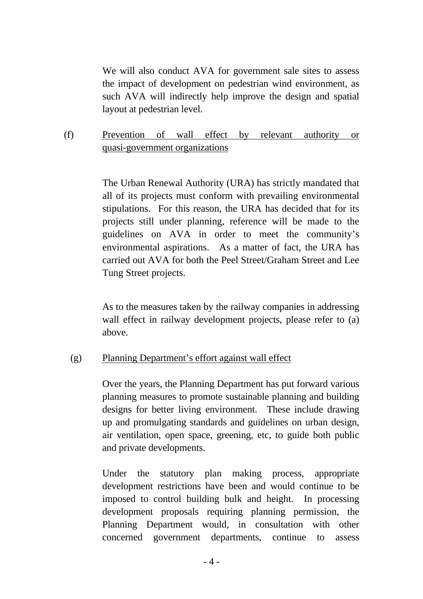We will also conduct AVA for government sale sites to assess the impact of development on pedestrian wind environment, as such AVA will indirectly help improve the design and spatial layout at pedestrian level.

(f) Prevention of wall effect by relevant authority or quasi-government organizations

> The Urban Renewal Authority (URA) has strictly mandated that all of its projects must conform with prevailing environmental stipulations. For this reason, the URA has decided that for its projects still under planning, reference will be made to the guidelines on AVA in order to meet the community's environmental aspirations. As a matter of fact, the URA has carried out AVA for both the Peel Street/Graham Street and Lee Tung Street projects.

> As to the measures taken by the railway companies in addressing wall effect in railway development projects, please refer to (a) above.

# (g) Planning Department's effort against wall effect

 Over the years, the Planning Department has put forward various planning measures to promote sustainable planning and building designs for better living environment. These include drawing up and promulgating standards and guidelines on urban design, air ventilation, open space, greening, etc, to guide both public and private developments.

Under the statutory plan making process, appropriate development restrictions have been and would continue to be imposed to control building bulk and height. In processing development proposals requiring planning permission, the Planning Department would, in consultation with other concerned government departments, continue to assess